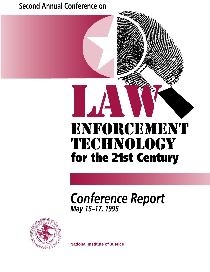# ✪ **Second Annual Conference on**

# ENFORCEMENT TECHNOLOGY **for the 21st Century** LAW

# *Conference Report May 15–17, 1995*



**National Institute of Justice**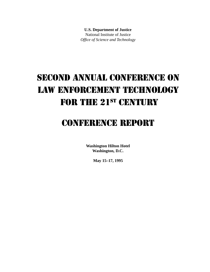**U.S. Department of Justice** National Institute of Justice *Office of Science and Technology*

# SECOND ANNUAL CONFERENCE ON LAW ENFORCEMENT TECHNOLOGY FOR THE 21<sup>ST</sup> CENTURY

# CONFERENCE REPORT

**Washington Hilton Hotel Washington, D.C.**

**May 15–17, 1995**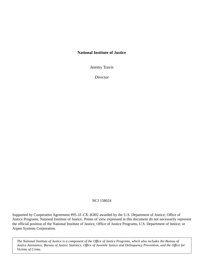# **National Institute of Justice**

Jeremy Travis

*Director*

NCJ 158024

Supported by Cooperative Agreement #95–IJ–CX–K002 awarded by the U.S. Department of Justice, Office of Justice Programs, National Institute of Justice. Points of view expressed in this document do not necessarily represent the official position of the National Institute of Justice, Office of Justice Programs, U.S. Department of Justice; or Aspen Systems Corporation.

*The National Institute of Justice is a component of the Office of Justice Programs, which also includes the Bureau of Justice Assistance, Bureau of Justice Statistics, Office of Juvenile Justice and Delinquency Prevention, and the Office for Victims of Crime.*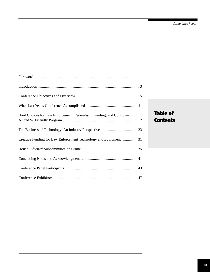| Hard Choices for Law Enforcement: Federalism, Funding, and Control- |
|---------------------------------------------------------------------|
|                                                                     |
| Creative Funding for Law Enforcement Technology and Equipment  31   |
|                                                                     |
|                                                                     |
|                                                                     |
|                                                                     |

# **Table of Contents**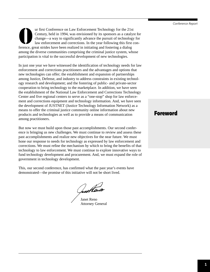ur first Conference on Law Enforcement Technology for the 21st Century, held in 1994, was envisioned by its sponsors as a catalyst for change—a way to significantly advance the pursuit of technology for law enforcement and corrections. In the year following this first conference, great strides have been realized in initiating and fostering a dialog among the diverse communities comprising the criminal justice system, whose participation is vital to the successful development of new technologies.  $\overline{\mathbf{0}}$ 

In just one year we have witnessed the identification of technology needs for law enforcement and corrections practitioners and the advantages and options that new technologies can offer; the establishment and expansion of partnerships among Justice, Defense, and industry to address constraints in existing technology research and development; and the fostering of public- and private-sector cooperation to bring technology to the marketplace. In addition, we have seen the establishment of the National Law Enforcement and Corrections Technology Center and five regional centers to serve as a "one-stop" shop for law enforcement and corrections equipment and technology information. And, we have seen the development of JUSTNET (Justice Technology Information Network) as a means to offer the criminal justice community online information about new products and technologies as well as to provide a means of communication among practitioners.

But now we must build upon those past accomplishments. Our second conference is bringing us new challenges. We must continue to review and assess these past accomplishments and realize new objectives for the near future. We must hone our response to needs for technology as expressed by law enforcement and corrections. We must refine the mechanism by which to bring the benefits of that technology to law enforcement. We must continue to explore innovative ways to fund technology development and procurement. And, we must expand the role of government in technology development.

This, our second conference, has confirmed what the past year's events have demonstrated—the promise of this initiative will not be short lived.

Justace

Janet Reno Attorney General

# **Foreword**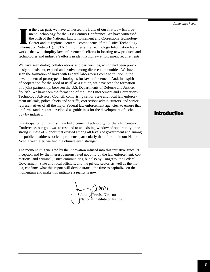n the year past, we have witnessed the fruits of our first Law Enforcement Technology for the 21st Century Conference. We have witnessed the birth of the National Law Enforcement and Corrections Technology Center and its regional centers—components of the Justice Technology Information Network (JUSTNET), formerly the Technology Information Net-I work—that will simplify law enforcement's efforts in locating new products and technologies and industry's efforts in identifying law enforcement requirements.

We have seen dialog, collaborations, and partnerships, which had been previously nonexistent, expand and evolve among diverse communities. We have seen the formation of links with Federal laboratories come to fruition in the development of prototype technologies for law enforcement. And, in a spirit of cooperation for the good of us all as a Nation, we have seen the formation of a joint partnership, between the U.S. Departments of Defense and Justice, flourish. We have seen the formation of the Law Enforcement and Corrections Technology Advisory Council, comprising senior State and local law enforcement officials, police chiefs and sheriffs, corrections administrators, and senior representatives of all the major Federal law enforcement agencies, to ensure that uniform standards are developed as guidelines for the development of technology by industry.

In anticipation of that first Law Enforcement Technology for the 21st Century Conference, our goal was to respond to an existing window of opportunity—the strong climate of support that existed among all levels of government and among the public to address societal problems, particularly that of crime in our Nation. Now, a year later, we find the climate even stronger.

The momentum generated by the innovation infused into this initiative since its inception and by the interest demonstrated not only by the law enforcement, corrections, and criminal justice communities, but also by Congress, the Federal Government, State and local officials, and the private sector, as well as the media, confirms what this report will demonstrate—the time to capitalize on the momentum and make this initiative a reality is now.

Jeremy Travis, Director National Institute of Justice

# **Introduction**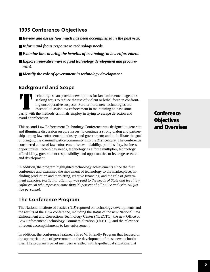# **1995 Conference Objectives**

- *Review and assess how much has been accomplished in the past year.*
- *Inform and focus response to technology needs.*
- *Examine how to bring the benefits of technology to law enforcement.*
- *Explore innovative ways to fund technology development and procurement.*
- *Identify the role of government in technology development.*

# **Background and Scope**

echnologies can provide new options for law enforcement agencies seeking ways to reduce the use of violent or lethal force in confront**incooperative suspects.** Furthermore, new technologies are essential to assist law enforcement in maintaining at least some parity with the methods criminals employ in trying to escape detection and avoid apprehension.

This second Law Enforcement Technology Conference was designed to generate and illuminate discussion on core issues; to continue a strong dialog and partnership among law enforcement, industry, and government; and to facilitate the goal of bringing the criminal justice community into the 21st century. The conference considered a host of law enforcement issues—liability, public safety, business opportunities, technology needs, technology as a force multiplier, technology affordability, government responsibility, and opportunities to leverage research and development.

In addition, the program highlighted technology achievements since the first conference and examined the movement of technology to the marketplace, including production and marketing, creative financing, and the role of government agencies. *Particular attention was paid to the needs of State and local law enforcement who represent more than 95 percent of all police and criminal justice personnel.*

# **The Conference Program**

The National Institute of Justice (NIJ) reported on technology developments and the results of the 1994 conference, including the status of the new National Law Enforcement and Corrections Technology Center (NLECTC), the new Office of Law Enforcement Technology Commercialization (OLETC), and the relevance of recent accomplishments to law enforcement.

In addition, the conference featured a Fred W. Friendly Program that focused on the appropriate role of government in the development of these new technologies. The program's panel members wrestled with hypothetical situations that

**Conference Objectives and Overview**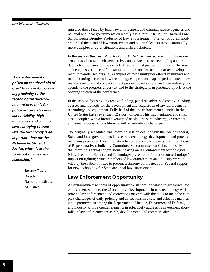*"Law enforcement is poised on the threshold of great things in its increasing proximity to the technological development of new tools for police officers. This era of accountability, high innovation, and common sense in trying to translate the technology is an important time for the National Institute of Justice, which is at the forefront of a new era in leadership."*

> Jeremy Travis Director National Institute of Justice

mirrored those faced by local law enforcement and criminal justice agencies and national and local governments on a daily basis. Arthur R. Miller, Harvard Law School Bruce Bromley Professor of Law and a frequent Friendly Program moderator, led the panel of law enforcement and political leaders into a continually more complex array of situations and difficult choices.

In the session *Business of Technology: An Industry Perspective,* industry representatives discussed their perspectives on the business of developing and producing technologies for the decentralized criminal justice community. The session emphasized successful examples and lessons learned in market development in parallel sectors (i.e., examples of force multiplier effects in military and manufacturing sectors); how technology can produce leaps in performance; how market structure and cohesion affect product development; and how industry responds to the progress underway and to the strategic plan presented by NIJ at the opening session of the conference.

In the session focusing on creative funding, panelists addressed creative funding sources and methods for the development and acquisition of law enforcement technology and equipment. Fully half of the law enforcement agencies in the United States have fewer than 12 sworn officers. This fragmentation and small size—coupled with a broad diversity of needs—present industry, government, and, most especially, practitioners with a formidable challenge.

The originally scheduled final morning session dealing with the role of Federal, State, and local governments in research, technology development, and procurement was preempted by an invitation to conference participants from the House of Representative's Judiciary Committee Subcommittee on Crime to testify at that morning's actual congressional hearing on law enforcement technologies. NIJ's director of Science and Technology presented information on technology's impact on fighting crime. Members of law enforcement and industry were invited by the subcommittee to present testimony on the need for Federal support for new technology for State and local law enforcement.

# **Law Enforcement Opportunity**

An extraordinary window of opportunity exists through which to accelerate law enforcement well into the 21st century. Developments in new technology will provide law enforcement and corrections officers with the tools to meet the complex challenges of daily policing and corrections in a safe and effective manner, while partnerships among the Department of Justice, Department of Defense, and industry will be crucial elements in effectively addressing investment shortfalls in law enforcement research, development, and commercialization.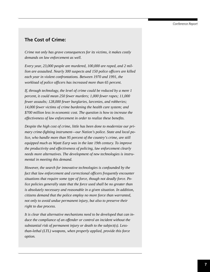# **The Cost of Crime:**

*Crime not only has grave consequences for its victims, it makes costly demands on law enforcement as well.*

*Every year, 23,000 people are murdered, 100,000 are raped, and 2 million are assaulted. Nearly 300 suspects and 150 police officers are killed each year in violent confrontations. Between 1970 and 1991, the workload of police officers has increased more than 65 percent.*

*If, through technology, the level of crime could be reduced by a mere 1 percent, it could mean 250 fewer murders; 1,000 fewer rapes; 11,000 fewer assaults; 128,000 fewer burglaries, larcenies, and robberies; 14,000 fewer victims of crime burdening the health care system; and \$700 million less in economic cost. The question is how to increase the effectiveness of law enforcement in order to realize these benefits.*

*Despite the high cost of crime, little has been done to modernize our primary crime-fighting instrument—our Nation's police. State and local police, who handle more than 95 percent of the country's crime, are still equipped much as Wyatt Earp was in the late 19th century. To improve the productivity and effectiveness of policing, law enforcement clearly needs more alternatives. The development of new technologies is instrumental in meeting this demand.*

*However, the search for innovative technologies is confounded by the fact that law enforcement and correctional officers frequently encounter situations that require some type of force, though not deadly force. Police policies generally state that the force used shall be no greater than is absolutely necessary and reasonable in a given situation. In addition, citizens demand that the police employ no more force than warranted, not only to avoid undue permanent injury, but also to preserve their right to due process.*

*It is clear that alternative mechanisms need to be developed that can induce the compliance of an offender or control an incident without the substantial risk of permanent injury or death to the subject(s). Lessthan-lethal (LTL) weapons, when properly applied, provide this force option.*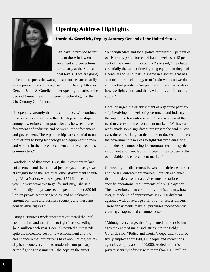

# **Opening Address Highlights**

## **Jamie S. Gorelick, Deputy Attorney General of the United States**

"We have to provide better tools to those in law enforcement and corrections, particularly at the State and local levels, if we are going

to be able to press the war against crime as successfully as we pressed the cold war," said U.S. Deputy Attorney General Jamie S. Gorelick in her opening remarks at the Second Annual Law Enforcement Technology for the 21st Century Conference.

"I hope very strongly that this conference will continue to serve as a catalyst to further develop partnerships among law enforcement practitioners, between law enforcement and industry, and between law enforcement and government. These partnerships are essential to our joint efforts to bring technology and equipment to men and women in the law enforcement and the corrections communities."

Gorelick noted that since 1988, the investment in law enforcement and the criminal justice system has grown at roughly twice the rate of all other government spending. "As a Nation, we now spend \$75 billion each year—a very attractive target for industry," she said. "Additionally, the private sector spends another \$50 billion on private security agencies, and an unknown amount on home and business security, and these are conservative figures."

Citing a *Business Week* report that estimated the total cost of crime and the efforts to fight it as exceeding \$425 million each year, Gorelick pointed out that "despite the incredible cost of law enforcement and the clear concern that our citizens have about crime, we really have done very little to modernize our primary crime-fighting instruments—the cops on the street.

"Although State and local police represent 95 percent of our Nation's police force and handle well over 95 percent of the crime in this country," she said, "they have essentially the same crime-fighting equipment they had a century ago. And that's a shame in a society that has so much more technology to offer. So what can we do to address that problem? We just have to be smarter about how we fight crime, and that's what this conference is about."

Gorelick urged the establishment of a genuine partnership involving all levels of government and industry in the support of law enforcement. She also stressed the need to create a law enforcement market. "We have already made some significant progress," she said. "However, there is still a great deal more to do. We don't have the government resources to fight this problem alone, and industry cannot bring its enormous technology development and manufacturing capabilities to bear without a viable law enforcement market."

Contrasting the differences between the defense market and the law enforcement market, Gorelick explained that in the defense arena devices must be tailored to the specific operational requirements of a single agency. The law enforcement community in this country, however, is made up of approximately 17,000 different agencies with an average staff of 24 or fewer officers. These departments make all purchases independently, creating a fragmented customer base.

"Although very large, this fragmented market discourages the entry of major industries into the field," Gorelick said. "Police and sheriff's departments collectively employ about 840,000 people and corrections agencies employ about 400,000. Added to that is the private security industry with more than 1 1/2 million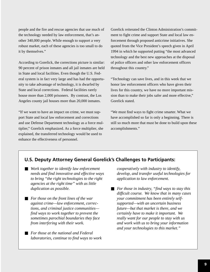people and the fire and rescue agencies that use much of the technology needed by law enforcement, that's another 340,000 people. While enough to support a very robust market, each of these agencies is too small to do it by themselves."

According to Gorelick, the corrections picture is similar: 90 percent of prison inmates and all jail inmates are held in State and local facilities. Even though the U.S. Federal system is in fact very large and has had the opportunity to take advantage of technology, it is dwarfed by State and local corrections. Federal facilities rarely house more than 2,000 prisoners. By contrast, the Los Angeles county jail houses more than 20,000 inmates.

"If we want to have an impact on crime, we must support State and local law enforcement and corrections and use Defense Department technology as a force multiplier," Gorelick emphasized. As a force multiplier, she explained, the transferred technology would be used to enhance the effectiveness of personnel.

Gorelick reiterated the Clinton Administration's commitment to fight crime and support State and local law enforcement through proposed anticrime initiatives. She quoted from the Vice President's speech given in April 1994 in which he supported putting "the most advanced technology and the best new approaches at the disposal of police officers and other law enforcement officers throughout this country."

"Technology can save lives, and in this week that we honor law enforcement officers who have given their lives for this country, we have no more important mission than to make their jobs safer and more effective," Gorelick stated.

"We must find ways to fight crime smarter. What we have accomplished so far is only a beginning. There is still so much more that must be done to build upon these accomplishments."

# **U.S. Deputy Attorney General Gorelick's Challenges to Participants:**

- ■ *Work together to identify law enforcement needs and find innovative and effective ways to bring "the right technologies to the right agencies at the right time" with as little duplication as possible.*
- ■ *For those on the front lines of the war against crime—law enforcement, corrections, and criminal justice communities find ways to work together to prevent the sometimes parochial boundaries they face from interfering with their work.*
- ■ *For those at the national and Federal laboratories, continue to find ways to work*

*cooperatively with industry to identify, develop, and transfer useful technologies for application to law enforcement.*

■ *For those in industry, "find ways to stay this difficult course. We know that in many cases your commitment has been entirely selfsupported—with an uncertain business future—but that market is there, and we certainly have to make it important. We really want for our people to stay with us and work with us to bring your information and your technologies to this market."*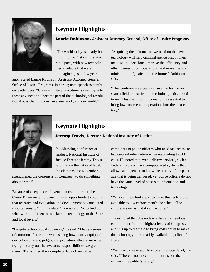

# **Keynote Highlights**

# **Laurie Robinson, Assistant Attorney General, Office of Justice Programs**

"The world today is clearly hurtling into the 21st century at a rapid pace, with new technologies available that were unimagined just a few years

ago," stated Laurie Robinson, Assistant Attorney General, Office of Justice Programs, in her keynote speech to conference attendees. "Criminal justice practitioners must tap into these advances and become part of the technological revolution that is changing our laws, our work, and our world."

"Acquiring the information we need on the new technology will help criminal justice practitioners make sound decisions, improve the efficiency and effectiveness of our operations, and move the administration of justice into the future," Robinson said.

"This conference serves as an avenue for the research field to hear from the criminal justice practitioner. This sharing of information is essential to bring law enforcement operations into the next century."



# **Keynote Highlights**

# **Jeremy Travis, Director, National Institute of Justice**

In addressing conference attendees, National Institute of Justice Director Jeremy Travis said that on the national level, the elections last November

strengthened the consensus in Congress "to do something about crime."

Because of a sequence of events—most important, the Crime Bill—law enforcement has an opportunity to require that research and evaluation and development be conducted simultaneously. "Our mandate," Travis said, "is to find out what works and then to translate the technology to the State and local levels."

"Despite technological advances," he said, "I have a sense of enormous frustration when seeing how poorly equipped our police officers, judges, and probation officers are when trying to carry out the awesome responsibilities we give them." Travis cited the example of lack of available

computers to police officers who need fast access to background information when responding to 911 calls. He noted that even delivery services, such as Federal Express, have computerized systems that allow each operator to know the history of the package that is being delivered, yet police officers do not have the same level of access to information and technology.

"Why can't we find a way to make this technology available to law enforcement?" he asked. "The simple answer is that it can be done."

Travis noted that this endeavor has a tremendous commitment from the highest levels of Congress, and it is up to the field to bring costs down to make the technology more readily available to police officers.

"We have to make a difference at the local level," he said. "There is no more important mission than to enhance the public's safety."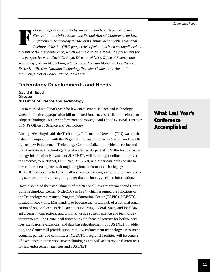*ollowing opening remarks by Jamie S. Gorelick, Deputy Attorney General of the United States, the Second Annual Conference on Law Enforcement Technology for the 21st Century began with a National Institute of Justice (NIJ) perspective of what has been accomplished as a result of the first conference, which was held in June 1994. The presenters for this perspective were David G. Boyd, Director of NIJ's Office of Science and Technology; Kevin M. Jackson, NIJ Centers Program Manager; Lee Rivers, Executive Director, National Technology Transfer Center; and Harlin R. McEwen, Chief of Police, Ithaca, New York.*

# **Technology Developments and Needs**

#### **David G. Boyd Director NIJ Office of Science and Technology**

"1994 marked a hallmark year for law enforcement science and technology when the Justice appropriation bill mandated funds to assist NIJ in its efforts to adopt technologies for law enforcement purposes," said David G. Boyd, Director of NIJ's Office of Science and Technology.

During 1994, Boyd said, the Technology Information Network (TIN) was established in conjunction with the Regional Information Sharing System and the Office of Law Enforcement Technology Commercialization, which is co-located with the National Technology Transfer Center. As part of TIN, the Justice Technology Information Network, or JUSTNET, will be brought online to link, via the Internet, to ARPAnet, IACP Net, RISS Net, and other data bases of use to law enforcement agencies through a regional information sharing system. JUSTNET, according to Boyd, will not replace existing systems, duplicate existing services, or provide anything other than technology-related information.

Boyd also noted the establishment of the National Law Enforcement and Corrections Technology Center (NLECTC) in 1994, which assumed the functions of the Technology Assessment Program Information Center (TAPIC). NLECTC, located in Rockville, Maryland, is to become the virtual hub of a national organization of regional centers dedicated to supporting Federal, State, and local law enforcement, corrections, and criminal justice system science and technology requirements. The Center will function as the focus of activity for hotline services, standards, evaluations, and data base development for JUSTNET. In addition, the Center will provide support to law enforcement technology assessment councils, panels, and committees. NLECTC's regional facilities will be centers of excellence in their respective technologies and will act as regional interfaces for law enforcement agencies and JUSTNET.

# **What Last Year's Conference Accomplished**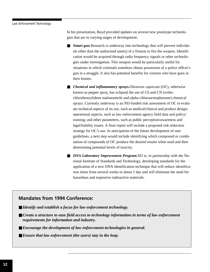#### *Law Enforcement Technology*

In his presentation, Boyd provided updates on several new prototype technologies that are in varying stages of development:

- *Smart gun.*Research is underway into technology that will prevent individuals other than the authorized user(s) of a firearm to fire the weapon. Identification would be acquired through radio frequency signals or other technologies under investigation. This weapon would be particularly useful for situations in which criminals somehow obtain possession of a police officer's gun in a struggle. It also has potential benefits for citizens who have guns in their homes.
- *Chemical and inflammatory sprays.*Oleoresin capsicum (OC), otherwise known as pepper spray, has eclipsed the use of CS and CN (*ortho*chlorobenzylidene malononitrile and *alpha*-chloroacetophenone) chemical sprays. Currently underway is an NIJ-funded risk assessment of OC to evaluate technical aspects of its use, such as medical/clinical and product design; operational aspects, such as law enforcement agency field data and policy/ training; and other parameters, such as public perception/awareness and legal/liability issues. A final report will include a proposed risk reduction strategy for OC's use. In anticipation of the future development of user guidelines, a next step would include identifying which compound or combination of compounds of OC produce the desired results when used and then determining potential levels of toxicity.
- *DNA Laboratory Improvement Program.NIJ* is, in partnership with the National Institute of Standards and Technology, developing standards for the application of a new DNA identification technique that will reduce identification times from several weeks to about 1 day and will eliminate the need for hazardous and expensive radioactive materials.

# **Mandates from 1994 Conference:**

- *Identify and establish a focus for law enforcement technology.*
- *Create a structure to ease field access to technology information in terms of law enforcement requirements for information and industry.*
- *Encourage the development of law enforcement technologies in general.*
- *Ensure that law enforcement (the users) stay in the loop.*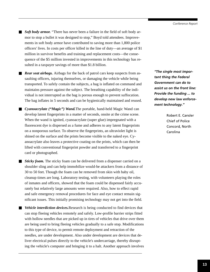- *Soft body armor.* "There has never been a failure in the field of soft body armor to stop a bullet it was designed to stop," Boyd told attendees. Improvements in soft body armor have contributed to saving more than 1,800 police officers' lives. In costs per officer killed in the line of duty—an average of \$1 million in survivor benefits and training and replacement costs—the consequence of the \$5 million invested in improvements in this technology has resulted in a taxpayer savings of more than \$1.8 billion.
- *Rear seat airbags*. Airbags for the back of patrol cars keep suspects from assaulting officers, injuring themselves, or damaging the vehicle while being transported. To safely contain the subjects, a bag is inflated on command and maintains pressure against the subject. The breathing capability of the individual is not interrupted as the bag is porous enough to prevent suffocation. The bag inflates in 5 seconds and can be hygienically maintained and reused.
- *Cyanoacrylate ("Magic") Wand*. The portable, hand-held Magic Wand can develop latent fingerprints in a matter of seconds, onsite at the crime scene. When the wand is ignited, cyanoacrylate (super glue) impregnated with a fluorescent dye is dispersed as a fume and adheres to any latent fingerprints on a nonporous surface. To observe the fingerprints, an ultraviolet light is shined on the surface and the prints become visible to the naked eye. Cyanoacrylate also leaves a protective coating on the prints, which can then be lifted with conventional fingerprint powder and transferred to a fingerprint card or photographed.
- *Sticky foam*. The sticky foam can be delivered from a dispenser carried on a shoulder sling and can help immobilize would-be attackers from a distance of 30 to 50 feet. Though the foam can be removed from skin with baby oil, cleanup times are long. Laboratory testing, with volunteers playing the roles of inmates and officers, showed that the foam could be dispensed fairly accurately but relatively large amounts were required. Also, how to effect rapid and safe emergency removal procedures for face and eye contact remain significant issues. This initially promising technology may not get into the field.
- *Vehicle interdiction devices.Research* is being conducted to find devices that can stop fleeing vehicles remotely and safely. Low-profile barrier strips fitted with hollow needles that are picked up in tires of vehicles that drive over them are being used to bring fleeing vehicles gradually to a safe stop. Modifications to this type of device, to permit remote deployment and retraction of the needles, are under development. Also under development are devices that deliver electrical pulses directly to the vehicle's undercarriage, thereby disrupting the vehicle's computer and bringing it to a halt. Another approach involves

*"The single most important thing the Federal Government can do to assist us on the front line: Provide the funding ... to develop new law enforcement technology."*

> Robert E. Cansler Chief of Police Concord, North Carolina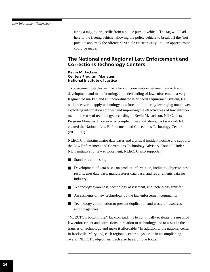firing a tagging projectile from a police pursuit vehicle. The tag would adhere to the fleeing vehicle, allowing the police vehicle to break off the "hot pursuit" and track the offender's vehicle electronically until an apprehension could be made.

# **The National and Regional Law Enforcement and Corrections Technology Centers**

#### **Kevin M. Jackson Centers Program Manager National Institute of Justice**

To overcome obstacles such as a lack of coordination between research and development and manufacturing, an underfunding of law enforcement, a very fragmented market, and an uncoordinated user/needs requirement system, NIJ will endeavor to apply technology as a force multiplier by leveraging manpower, exploiting information sources, and improving the effectiveness of law enforcement in the use of technology, according to Kevin M. Jackson, NIJ Centers Program Manager. In order to accomplish these initiatives, Jackson said, NIJ created the National Law Enforcement and Corrections Technology Center (NLECTC).

NLECTC maintains major data bases and a critical incident hotline and supports the Law Enforcement and Corrections Technology Advisory Council. Under NIJ's initiative for law enforcement, NLECTC also supports:

- Standards and testing.
- Development of data bases on product information, including objective test results, user data base, manufacturer data base, and requirements data for industry.
- Technology awareness, technology assessment, and technology transfer.
- Assessments of new technology by the law enforcement community.
- Technology coordination to prevent duplication and waste of resources among agencies.

"NLECTC's bottom line," Jackson said, "is to continually evaluate the needs of law enforcement and corrections in relation to technology and to assist in the transfer of technology and make it affordable." In addition to the national center in Rockville, Maryland, each regional center plays a role in accomplishing overall NLECTC objectives. Each also has a unique focus: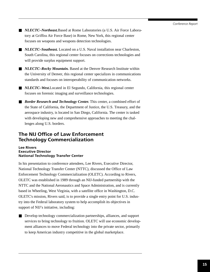- *NLECTC–Northeast*.Based at Rome Laboratories (a U.S. Air Force Laboratory at Griffiss Air Force Base) in Rome, New York, this regional center focuses on weapons and weapons detection technologies.
- *NLECTC–Southeast*. Located on a U.S. Naval installation near Charleston, South Carolina, this regional center focuses on corrections technologies and will provide surplus equipment support.
- *NLECTC–Rocky Mountain*. Based at the Denver Research Institute within the University of Denver, this regional center specializes in communications standards and focuses on interoperability of communication networks.
- *NLECTC–West*.Located in El Segundo, California, this regional center focuses on forensic imaging and surveillance technologies.
- *Border Research and Technology Center.* This center, a combined effort of the State of California, the Department of Justice, the U.S. Treasury, and the aerospace industry, is located in San Diego, California. The center is tasked with developing new and comprehensive approaches to meeting the challenges along U.S. borders.

# **The NIJ Office of Law Enforcement Technology Commercialization**

#### **Lee Rivers Executive Director National Technology Transfer Center**

In his presentation to conference attendees, Lee Rivers, Executive Director, National Technology Transfer Center (NTTC), discussed the Office of Law Enforcement Technology Commercialization (OLETC). According to Rivers, OLETC was established in 1989 through an NIJ-funded partnership with the NTTC and the National Aeronautics and Space Administration, and is currently based in Wheeling, West Virginia, with a satellite office in Washington, D.C. OLETC's mission, Rivers said, is to provide a single entry point for U.S. industry into the Federal laboratory system to help accomplish its objectives in support of NIJ's initiative, including:

■ Develop technology commercialization partnerships, alliances, and support services to bring technology to fruition. OLETC will use economic development alliances to move Federal technology into the private sector, primarily to keep American industry competitive in the global marketplace.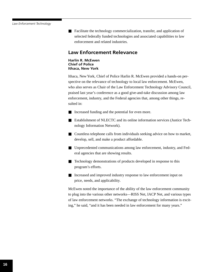■ Facilitate the technology commercialization, transfer, and application of selected federally funded technologies and associated capabilities to law enforcement and related industries.

# **Law Enforcement Relevance**

**Harlin R. McEwen Chief of Police Ithaca, New York**

Ithaca, New York, Chief of Police Harlin R. McEwen provided a hands-on perspective on the relevance of technology to local law enforcement. McEwen, who also serves as Chair of the Law Enforcement Technology Advisory Council, praised last year's conference as a good give-and-take discussion among law enforcement, industry, and the Federal agencies that, among other things, resulted in:

- Increased funding and the potential for even more.
- Establishment of NLECTC and its online information services (Justice Technology Information Network).
- Countless telephone calls from individuals seeking advice on how to market, develop, sell, and make a product affordable.
- Unprecedented communications among law enforcement, industry, and Federal agencies that are showing results.
- Technology demonstrations of products developed in response to this program's efforts.
- Increased and improved industry response to law enforcement input on price, needs, and applicability.

McEwen noted the importance of the ability of the law enforcement community to plug into the various other networks—RISS Net, IACP Net, and various types of law enforcement networks. "The exchange of technology information is exciting," he said, "and it has been needed in law enforcement for many years."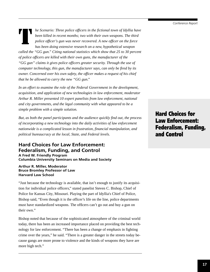*he Scenario: Three police officers in the fictional town of Idyllia have been killed in recent months; two with their own weapons. The third police officer's gun was never recovered. A new officer on the force has been doing extensive research on a new, hypothetical weapon called the "GG gun." Citing national statistics which show that 25 to 30 percent of police officers are killed with their own guns, the manufacturer of the "GG gun" claims it gives police officers greater security. Through the use of computer technology, this gun, the manufacturer says, can only be fired by its owner. Concerned over his own safety, the officer makes a request of his chief that he be allowed to carry the new "GG gun."* T

*In an effort to examine the role of the Federal Government in the development, acquisition, and application of new technologies in law enforcement, moderator Arthur R. Miller presented 10 expert panelists from law enforcement, national and city governments, and the legal community with what appeared to be a simple problem with a simple solution.*

*But, as both the panel participants and the audience quickly find out, the process of incorporating a new technology into the daily activities of law enforcement nationwide is a complicated lesson in frustration, financial manipulation, and political bureaucracy at the local, State, and Federal levels.*

# **Hard Choices for Law Enforcement: Federalism, Funding, and Control**

**A Fred W. Friendly Program Columbia University Seminars on Media and Society**

#### **Arthur R. Miller, Moderator Bruce Bromley Professor of Law Harvard Law School**

"Just because the technology is available, that isn't enough to justify its acquisition for individual police officers," stated panelist Steven C. Bishop, Chief of Police for Kansas City, Missouri. Playing the part of Idyllia's Chief of Police, Bishop said, "Even though it is the officer's life on the line, police departments must have standardized weapons. The officers can't go out and buy a gun on their own."

Bishop noted that because of the sophisticated atmosphere of the criminal world today, there has been an increased importance placed on providing the best technology for law enforcement. "There has been a change of emphasis in fighting crime over the years," he said. "There is a greater danger in the streets today because gangs are more prone to violence and the kinds of weapons they have are more high tech."

**Hard Choices for Law Enforcement: Federalism, Funding, and Control**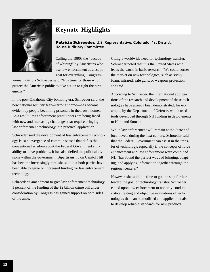

# **Keynote Highlights**

# **Patricia Schroeder, U.S. Representative, Colorado, 1st District; House Judiciary Committee**

Calling the 1990s the "decade of whining" by Americans who use law enforcement as a scapegoat for everything, Congress-

woman Patricia Schroeder said, "It is time for those who protect the American public to take action to fight the new enemy."

In the post-Oklahoma City bombing era, Schroeder said, the new national security fear—terror at home—has become evident by people becoming prisoners in their own homes. As a result, law enforcement practitioners are being faced with new and increasing challenges that require bringing law enforcement technology into practical application.

Schroeder said the development of law enforcement technology is "a convergence of common sense" that defies the conventional wisdom about the Federal Government's inability to solve problems. It has also defied the political divisions within the government. Bipartisanship on Capitol Hill has become increasingly rare, she said, but both parties have been able to agree on increased funding for law enforcement technology.

Schroeder's amendment to give law enforcement technology 1 percent of the funding of the \$2 billion crime bill under consideration by Congress has gained support on both sides of the aisle.

Citing a worldwide need for technology transfer, Schroeder noted that it is the United States who leads the world in basic research. "We could corner the market on new technologies, such as sticky foam, infrared, safe guns, or weapons protection," she said.

According to Schroeder, the international applications of the research and development of these technologies have already been demonstrated; for example, by the Department of Defense, which used tools developed through NIJ funding in deployments to Haiti and Somalia.

While law enforcement will remain at the State and local levels during the next century, Schroeder said that the Federal Government can assist in the transfer of technology, especially if the concepts of force enhancement and law enforcement were combined. NIJ "has found the perfect ways of bringing, adapting, and applying information together through the regional centers."

However, she said it is time to go one step further toward the goal of technology transfer. Schroeder called upon law enforcement to not only conduct critical testing and objective evaluations of technologies that can be modified and applied, but also to develop reliable standards for new products.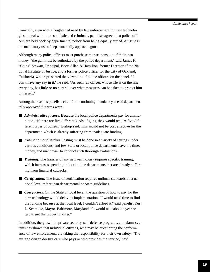Ironically, even with a heightened need by law enforcement for new technologies to deal with more sophisticated criminals, panelists agreed that police officers are held back by departmental policy from being equally armed. At issue is the mandatory use of departmentally approved guns.

Although many police officers must purchase the weapons out of their own money, "the gun must be authorized by the police department," said James K. "Chips" Stewart, Principal, Booz-Allen & Hamilton, former Director of the National Institute of Justice, and a former police officer for the City of Oakland, California, who represented the viewpoint of police officers on the panel. "I don't have any say in it," he said. "As such, an officer, whose life is on the line every day, has little or no control over what measures can be taken to protect him or herself"

Among the reasons panelists cited for a continuing mandatory use of departmentally approved firearms were:

- *Administrative factors*. Because the local police departments pay for ammunition, "if there are five different kinds of guns, they would require five different types of bullets," Bishop said. This would not be cost effective for the department, which is already suffering from inadequate funding.
- *Evaluation and testing*. Testing must be done in a variety of settings under various conditions, and few State or local police departments have the time, money, and manpower to conduct such thorough evaluations.
- *Training*. The transfer of any new technology requires specific training, which increases spending in local police departments that are already suffering from financial cutbacks.
- *Certification*. The issue of certification requires uniform standards on a national level rather than departmental or State guidelines.
- *Cost factors*. On the State or local level, the question of how to pay for the new technology would delay its implementation. "I would need time to find the funding because at the local level, I couldn't afford it," said panelist Kurt L. Schmoke, Mayor, Baltimore, Maryland. "It would take about a year or two to get the proper funding."

In addition, the growth in private security, self-defense programs, and alarm systems has shown that individual citizens, who may be questioning the performance of law enforcement, are taking the responsibility for their own safety. "The average citizen doesn't care who pays or who provides the service," said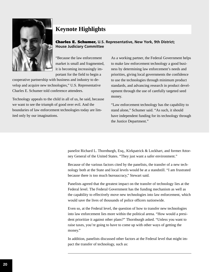

# **Keynote Highlights**

## **Charles E. Schumer, U.S. Representative, New York, 9th District; House Judiciary Committee**

"Because the law enforcement market is small and fragmented, it is becoming increasingly important for the field to begin a

cooperative partnership with business and industry to develop and acquire new technologies," U.S. Representative Charles E. Schumer told conference attendees.

Technology appeals to the child in all of us, he said, because we want to see the triumph of good over evil. And the boundaries of law enforcement technologies today are limited only by our imaginations.

As a working partner, the Federal Government helps to make law enforcement technology a good business by determining law enforcement's needs and priorities, giving local governments the confidence to use the technologies through minimum product standards, and advancing research in product development through the use of carefully targeted seed money.

"Law enforcement technology has the capability to stand alone," Schumer said. "As such, it should have independent funding for its technology through the Justice Department."

panelist Richard L. Thornburgh, Esq., Kirkpatrick & Lockhart, and former Attorney General of the United States. "They just want a safer environment."

Because of the various factors cited by the panelists, the transfer of a new technology both at the State and local levels would be at a standstill. "I am frustrated because there is too much bureaucracy," Stewart said.

Panelists agreed that the greatest impact on the transfer of technology lies at the Federal level. The Federal Government has the funding mechanism as well as the capability to effectively move new technologies into law enforcement, which would save the lives of thousands of police officers nationwide.

Even so, at the Federal level, the question of how to transfer new technologies into law enforcement lies more within the political arena. "How would a president prioritize it against other plans?" Thornburgh asked. "Unless you want to raise taxes, you're going to have to come up with other ways of getting the money."

In addition, panelists discussed other factors at the Federal level that might impact the transfer of technology, such as: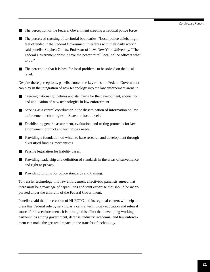- The perception of the Federal Government creating a national police force.
- The perceived crossing of territorial boundaries. "Local police chiefs might feel offended if the Federal Government interferes with their daily work," said panelist Stephen Gillers, Professor of Law, New York University. "The Federal Government doesn't have the power to tell local police officers what to do."
- The perception that it is best for local problems to be solved on the local level.

Despite these perceptions, panelists noted the key roles the Federal Government can play in the integration of new technology into the law enforcement arena in:

- Creating national guidelines and standards for the development, acquisition, and application of new technologies in law enforcement.
- Serving as a central coordinator in the dissemination of information on law enforcement technologies to State and local levels.
- Establishing generic assessment, evaluation, and testing protocols for law enforcement product and technology needs.
- Providing a foundation on which to base research and development through diversified funding mechanisms.
- Passing legislation for liability cases.
- Providing leadership and definition of standards in the areas of surveillance and right to privacy.
- Providing funding for police standards and training.

To transfer technology into law enforcement effectively, panelists agreed that there must be a marriage of capabilities and joint expertise that should be incorporated under the umbrella of the Federal Government.

Panelists said that the creation of NLECTC and its regional centers will help address this Federal role by serving as a central technology education and referral source for law enforcement. It is through this effort that developing working partnerships among government, defense, industry, academia, and law enforcement can make the greatest impact on the transfer of technology.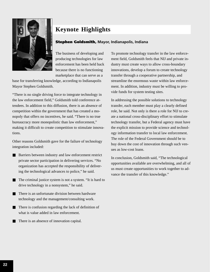

# **Keynote Highlights**

#### **Stephen Goldsmith, Mayor, Indianapolis, Indiana**

The business of developing and producing technologies for law enforcement has been held back because there is no functioning marketplace that can serve as a

base for transferring knowledge, according to Indianapolis Mayor Stephen Goldsmith.

"There is no single driving force to integrate technology in the law enforcement field," Goldsmith told conference attendees. In addition to this diffusion, there is an absence of competition within the government that has created a monopoly that offers no incentives, he said. "There is no true bureaucracy more monopolistic than law enforcement," making it difficult to create competition to stimulate innovations.

Other reasons Goldsmith gave for the failure of technology integration included:

- Barriers between industry and law enforcement restrict private sector participation in delivering services. "No organization has accepted the responsibility of delivering the technological advances to police," he said.
- The criminal justice system is not a system. "It is hard to drive technology in a nonsystem," he said.
- There is an unfortunate division between hardware technology and the management/consulting work.
- There is confusion regarding the lack of definition of what is value added in law enforcement.
- There is an absence of innovation capital.

To promote technology transfer in the law enforcement field, Goldsmith feels that NIJ and private industry must create ways to allow cross-boundary innovations, develop a forum to create technology transfer through a cooperative partnership, and streamline the enormous waste within law enforcement. In addition, industry must be willing to provide funds for system testing sites.

In addressing the possible solutions to technology transfer, each member must play a clearly defined role, he said. Not only is there a role for NIJ to create a national cross-disciplinary effort to stimulate technology transfer, but a Federal agency must have the explicit mission to provide science and technology information transfer to local law enforcement. The role of the Federal Government should be to buy down the cost of innovation through such venues as low-cost loans.

In conclusion, Goldsmith said, "The technological opportunities available are overwhelming, and all of us must create opportunities to work together to advance the transfer of this knowledge."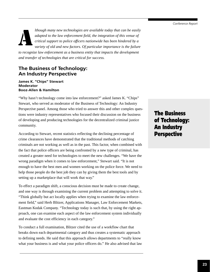*lthough many new technologies are available today that can be easily adapted to the law enforcement field, the integration of this venue of critical support to police officers nationwide has been hindered by a*  $\overline{c}$  critical support to police officers nationwide has been hindered by a *variety of old and new factors. Of particular importance is the failure*

*to recognize law enforcement as a business entity that impacts the development and transfer of technologies that are critical for success.*

# **The Business of Technology: An Industry Perspective**

#### **James K. "Chips" Stewart Moderator Booz-Allen & Hamilton**

"Why hasn't technology come into law enforcement?" asked James K. "Chips" Stewart, who served as moderator of the Business of Technology: An Industry Perspective panel. Among those who tried to answer this and other complex questions were industry representatives who focused their discussion on the business of developing and producing technologies for the decentralized criminal justice community.

According to Stewart, recent statistics reflecting the declining percentage of crime clearances have demonstrated that the traditional methods of catching criminals are not working as well as in the past. This factor, when combined with the fact that police officers are being confronted by a new type of criminal, has created a greater need for technologies to meet the new challenges. "We have the wrong paradigm when it comes to law enforcement," Stewart said. "It is not enough to have the best men and women working on the police force. We need to help those people do the best job they can by giving them the best tools and by setting up a marketplace that will work that way."

To effect a paradigm shift, a conscious decision must be made to create change, and one way is through examining the current problem and attempting to solve it. "Think globally but act locally applies when trying to examine the law enforcement field," said Herb Blitzer, Applications Manager, Law Enforcement Markets, Eastman Kodak Company. "Technology today is such that, by using the right approach, one can examine each aspect of the law enforcement system individually and evaluate the cost efficiency in each category."

To conduct a full examination, Blitzer cited the use of a workflow chart that breaks down each departmental category and thus creates a systematic approach to defining needs. He said that this approach allows departments to "really know what your business is and what your police officers do." He also advised that law **The Business of Technology: An Industry Perspective**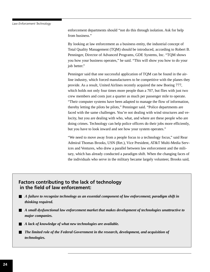#### *Law Enforcement Technology*

enforcement departments should "not do this through isolation. Ask for help from business."

By looking at law enforcement as a business entity, the industrial concept of Total Quality Management (TQM) should be introduced, according to Robert B. Penninger, Director of Advanced Programs, GDE Systems, Inc. "TQM shows you how your business operates," he said. "This will show you how to do your job better."

Penninger said that one successful application of TQM can be found in the airline industry, which forced manufacturers to be competitive with the planes they provide. As a result, United Airlines recently acquired the new Boeing 777, which holds not only four times more people than a 707, but flies with just two crew members and costs just a quarter as much per passenger mile to operate. "Their computer systems have been adapted to manage the flow of information, thereby letting the pilots be pilots," Penninger said. "Police departments are faced with the same challenges. You're not dealing with wind structures and velocity, but you are dealing with who, what, and where are these people who are doing crimes. Technology can help police officers do their jobs more efficiently, but you have to look inward and see how your system operates."

"We need to move away from a people focus to a technology focus," said Rear Admiral Thomas Brooks, USN (Ret.), Vice President, AT&T Multi-Media Services and Ventures, who drew a parallel between law enforcement and the military, which has already conducted a paradigm shift. When the changing faces of the individuals who serve in the military became largely volunteer, Brooks said,

# **Factors contributing to the lack of technology in the field of law enforcement:**

- *A* failure to recognize technology as an essential component of law enforcement; paradigm shift in *thinking required.*
- *A small dysfunctional law enforcement market that makes development of technologies unattractive to major companies.*
- *A lack of knowledge of what new technologies are available.*
- The limited role of the Federal Government in the research, development, and acquisition of *technologies.*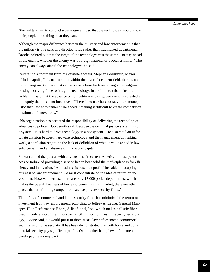"the military had to conduct a paradigm shift so that the technology would allow their people to do things that they can."

Although the major difference between the military and law enforcement is that the military is one centrally directed force rather than fragmented departments, Brooks pointed out that the target of the technology was the same—to stay ahead of the enemy, whether the enemy was a foreign national or a local criminal. "The enemy can always afford the technology!" he said.

Reiterating a comment from his keynote address, Stephen Goldsmith, Mayor of Indianapolis, Indiana, said that within the law enforcement field, there is no functioning marketplace that can serve as a base for transferring knowledge no single driving force to integrate technology. In addition to this diffusion, Goldsmith said that the absence of competition within government has created a monopoly that offers no incentives. "There is no true bureaucracy more monopolistic than law enforcement," he added, "making it difficult to create competition to stimulate innovations."

"No organization has accepted the responsibility of delivering the technological advances to police," Goldsmith said. Because the criminal justice system is not a system, "it is hard to drive technology in a nonsystem." He also cited an unfortunate division between hardware technology and the management/consulting work, a confusion regarding the lack of definition of what is value added in law enforcement, and an absence of innovation capital.

Stewart added that just as with any business in current American industry, success or failure of providing a service lies in how solid the marketplace is for efficiency and innovation. "All business is based on profit," he said. "In adapting business to law enforcement, we must concentrate on the idea of return on investment. However, because there are only 17,000 police departments, which makes the overall business of law enforcement a small market, there are other places that are forming competition, such as private security firms."

The influx of commercial and home security firms has minimized the return on investment from law enforcement, according to Jeffrey A. Leone, General Manager, High Performance Fibers, AlliedSignal, Inc., which makes ballistic fiber used in body armor. "If an industry has \$1 million to invest in security technology," Leone said, "it would put it in three areas: law enforcement, commercial security, and home security. It has been demonstrated that both home and commercial security pay significant profits. On the other hand, law enforcement is barely paying money back."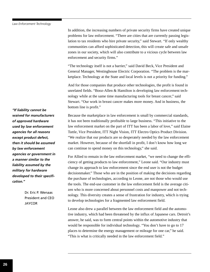In addition, the increasing numbers of private security firms have created unique problems for law enforcement. "There are cities that are currently passing legislation to tax residents who hire private security," said Stewart. "If only wealthy communities can afford sophisticated detection, this will create safe and unsafe zones in our society, which will also contribute to a vicious cycle between law enforcement and security firms."

"The technology itself is not a barrier," said David Beck, Vice President and General Manager, Westinghouse Electric Corporation. "The problem is the marketplace. Technology at the State and local levels is not a priority for funding."

And for those companies that produce other technologies, the profit is found in unrelated fields. "Booz-Allen & Hamilton is developing law enforcement technology while at the same time manufacturing tools for breast cancer," said Stewart. "Our work in breast cancer makes more money. And in business, the bottom line is profit."

Because the marketplace in law enforcement is small by commercial standards, it has not been traditionally profitable to large business. "This initiative to the law enforcement market on the part of ITT has been a labor of love," said Elaine Tuttle, Vice President, ITT Night Vision, ITT Electro Optics Product Division. "We realize that our products are so desperately needed by the law enforcement market. However, because of the shortfall in profit, I don't know how long we can continue to spend money on this technology," she said.

For Allied to remain in the law enforcement market, "we need to change the efficiency of getting products to law enforcement," Leone said. "Our industry must change its approach to law enforcement since the end user is not the budget decisionmaker." Those who are in the position of making the decisions regarding the purchase of technologies, according to Leone, are not those who would use the tools. The end-use customer in the law enforcement field is the average citizen who is more concerned about personnel costs and manpower and not technology. This diversity creates a sense of frustration for industry, which is trying to develop technologies for a fragmented law enforcement field.

Leone also drew a parallel between the law enforcement field and the automotive industry, which had been threatened by the influx of Japanese cars. Detroit's answer, he said, was to form central points within the automotive industry that would be responsible for individual technology. "You don't have to go to 17 places to determine the energy management or mileage for one car," he said. "This is what is critically needed in the law enforcement field."

*"If liability cannot be waived for manufacturers of approved hardware used by law enforcement agencies for all reasons except product defect, then it should be assumed by law enforcement agencies or government in a manner similar to the liability assumed by the military for hardware developed to their specification."*

> Dr. Eric P. Wenaas President and CEO **JAYCOR**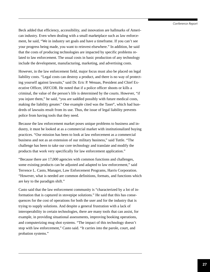Beck added that efficiency, accessibility, and innovation are hallmarks of American industry. Even when dealing with a small marketplace such as law enforcement, he said, "We in industry set goals and have a timeframe. If you can't see your progress being made, you want to reinvest elsewhere." In addition, he said that the costs of producing technologies are impacted by specific problems related to law enforcement. The usual costs in basic production of any technology include the development, manufacturing, marketing, and advertising costs.

However, in the law enforcement field, major focus must also be placed on legal liability costs. "Legal costs can destroy a product, and there is no way of protecting yourself against lawsuits," said Dr. Eric P. Wenaas, President and Chief Executive Officer, JAYCOR. He noted that if a police officer shoots or kills a criminal, the value of the person's life is determined by the courts. However, "if you injure them," he said, "you are saddled possibly with future medical costs, making the liability greater." One example cited was the Taser®, which had hundreds of lawsuits result from its use. Thus, the issue of legal liability prevents police from having tools that they need.

Because the law enforcement market poses unique problems to business and industry, it must be looked at as a commercial market with institutionalized buying practices. "Our mission has been to look at law enforcement as a commercial business and not as an extension of our military business," said Tuttle. "The challenge has been to take our core technology and translate and modify the products that work very specifically for law enforcement application."

"Because there are 17,000 agencies with common functions and challenges, some existing products can be adjusted and adapted to law enforcement," said Terrence L. Casto, Manager, Law Enforcement Programs, Harris Corporation. "However, what is needed are common definitions, formats, and functions which are key to the paradigm shift."

Casto said that the law enforcement community is "characterized by a lot of information that is captured in stovepipe solutions." He said that this has consequences for the cost of operations for both the user and for the industry that is trying to supply solutions. And despite a general frustration with a lack of interoperability in certain technologies, there are many tools that can assist, for example, in providing situational assessments, improving booking operations, and computerizing mug shot systems. "The impact of this technology doesn't stop with law enforcement," Casto said. "It carries into the parole, court, and probation systems."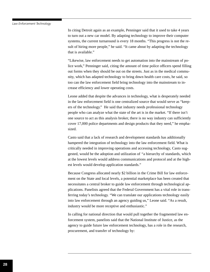#### *Law Enforcement Technology*

In citing Detroit again as an example, Penninger said that it used to take 4 years to turn out a new car model. By adapting technology to improve their computer systems, the current turnaround is every 18 months. "This progress is not the result of hiring more people," he said. "It came about by adapting the technology that is available."

"Likewise, law enforcement needs to get automation into the mainstream of police work," Penninger said, citing the amount of time police officers spend filling out forms when they should be out on the streets. Just as in the medical community, which has adapted technology to bring down health care costs, he said, so too can the law enforcement field bring technology into the mainstream to increase efficiency and lower operating costs.

Leone added that despite the advances in technology, what is desperately needed in the law enforcement field is one centralized source that would serve as "keepers of the technology." He said that industry needs professional technology people who can analyze what the state of the art is in the market. "If there isn't one source to act as this analysis broker, there is no way industry can sufficiently cover 17,000 police departments and design products that they need," he emphasized.

Casto said that a lack of research and development standards has additionally hampered the integration of technology into the law enforcement field. What is critically needed in improving operations and accessing technology, Casto suggested, would be the adoption and utilization of "a hierarchy of standards, which at the lowest levels would address communications and protocol and at the highest levels would develop application standards."

Because Congress allocated nearly \$2 billion in the Crime Bill for law enforcement on the State and local levels, a potential marketplace has been created that necessitates a central broker to guide law enforcement through technological applications. Panelists agreed that the Federal Government has a vital role in transferring today's technology. "We can translate our applications technology easily into law enforcement through an agency guiding us," Leone said. "As a result, industry would be more receptive and enthusiastic."

In calling for national direction that would pull together the fragmented law enforcement system, panelists said that the National Institute of Justice, as the agency to guide future law enforcement technology, has a role in the research, procurement, and transfer of technology by: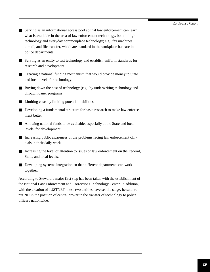- Serving as an informational access pool so that law enforcement can learn what is available in the area of law enforcement technology, both in high technology and everyday commonplace technology; e.g., fax machines, e-mail, and file transfer, which are standard in the workplace but rare in police departments.
- Serving as an entity to test technology and establish uniform standards for research and development.
- Creating a national funding mechanism that would provide money to State and local levels for technology.
- Buying down the cost of technology (e.g., by underwriting technology and through loaner programs).
- Limiting costs by limiting potential liabilities.
- Developing a fundamental structure for basic research to make law enforcement better.
- Allowing national funds to be available, especially at the State and local levels, for development.
- Increasing public awareness of the problems facing law enforcement officials in their daily work.
- Increasing the level of attention to issues of law enforcement on the Federal, State, and local levels.
- Developing systems integration so that different departments can work together.

According to Stewart, a major first step has been taken with the establishment of the National Law Enforcement and Corrections Technology Center. In addition, with the creation of JUSTNET, these two entities have set the stage, he said, to put NIJ in the position of central broker in the transfer of technology to police officers nationwide.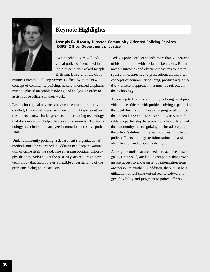

# **Keynote Highlights**

# **Joseph E. Brann, Director, Community Oriented Policing Services (COPS) Office, Department of Justice**

"What technologies will individual police officers need in the 21st century?" asked Joseph E. Brann, Director of the Com-

munity Oriented Policing Services Office. With the new concept of community policing, he said, increased emphasis must be placed on problemsolving and analysis in order to assist police officers in their work.

Past technological advances have concentrated primarily on conflict, Brann said. Because a new criminal type is out on the streets, a new challenge exists—in providing technology that does more than help officers catch criminals. New technology must help them analyze information and solve problems.

Under community policing, a department's organizational methods must be examined in addition to a deeper examination of crime itself, he said. The emerging political philosophy that has evolved over the past 20 years requires a new technology that incorporates a flexible understanding of the problems facing police officers.

Today's police officer spends more than 70 percent of his or her time with social misbehaviors, Brann noted. Outcomes and efficient measures to rate response time, arrests, and prosecution, all important concepts of community policing, produce a qualitatively different approach that must be reflected in the technology.

According to Brann, community policing must provide police officers with problemsolving capabilities that deal directly with these changing needs. Since the citizen is the end user, technology serves to facilitate a partnership between the police officer and the community. In recognizing the broad scope of the officer's duties, future technologies must help police officers to integrate information and assist in identification and problemsolving.

Among the tools that are needed to achieve these goals, Brann said, are laptop computers that provide instant access to and transfer of information from one person to another. In addition, there must be a utilization of real time virtual reality software to give flexibility and judgment to police officers.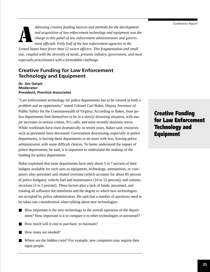*Conference Report*

*ddressing creative funding sources and methods for the development and acquisition of law enforcement technology and equipment was the* ddressing creative funding sources and methods for the development and acquisition of law enforcement technology and equipment was a charge to this panel of law enforcement administrators and govern*ment officials. Fully half of the law enforcement agencies in the United States have fewer than 12 sworn officers. This fragmentation and small*

*size, coupled with the diversity of needs, presents industry, government, and most especially practitioners with a formidable challenge.*

# **Creative Funding for Law Enforcement Technology and Equipment**

#### **Dr. Jim Gelatt Moderator President, Prentice Associates**

"Law enforcement technology for police departments has to be viewed as both a problem and an opportunity," stated Colonel Carl Baker, Deputy Secretary of Public Safety for the Commonwealth of Virginia. According to Baker, most police departments find themselves to be in a slowly drowning situation, with major increases in serious crimes, 911 calls, and most recently domestic terror. While workloads have risen dramatically in recent years, Baker said, resources such as personnel have decreased. Government downsizing, especially in police departments, is forcing these departments to do more with less, leaving police administrators with some difficult choices. To better understand the impact of police departments, he said, it is important to understand the makeup of the funding for police departments.

Baker explained that most departments have only about 5 to 7 percent of their budgets available for such uses as equipment, technology, ammunition, or computers after personnel and related overtime (which accounts for about 85 percent of police budgets); vehicle fuel and maintenance (10 to 12 percent); and communications (3 to 5 percent). These factors plus a lack of funds, personnel, and training all influence the timeliness and the degree to which new technologies are accepted by police administrators. He said that a number of questions need to be taken into consideration when talking about new technologies:

- How important is the new technology to the overall operation of the department? How important is it to compare it to other technologies or personnel?
- How much will it cost to purchase, to maintain?
- How many are needed?
- Where are the hidden costs? For example, new computers may require data input people.

**Creative Funding for Law Enforcement Technology and Equipment**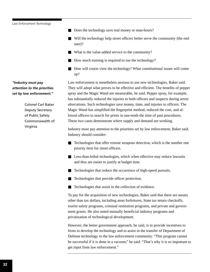- Does the technology save real money or man-hours?
- Will the technology help street officers better serve the community (the end user)?
- What is the value-added service to the community?
- How much training is required to use the technology?
- How will courts view the technology? What constitutional issues will come up?

Law enforcement is nonetheless anxious to use new technologies, Baker said. They will adopt what proves to be effective and efficient. The benefits of pepper spray and the Magic Wand are measurable, he said. Pepper spray, for example, has substantially reduced the injuries to both officers and suspects during arrest altercations. Such technologies save money, time, and injuries to officers. The Magic Wand has simplified the fingerprint method, reduced the cost, and allowed officers to search for prints in one-tenth the time of past procedures. These two cases demonstrate where supply and demand are working.

Industry must pay attention to the priorities set by law enforcement, Baker said. Industry should consider:

- Technologies that offer remote weapons detection, which is the number one priority item for street officers.
- Less-than-lethal technologies, which when effective may reduce lawsuits and thus are easier to justify at budget time.
- Technologies that reduce the occurrence of high-speed pursuits.
- Technologies that provide officer protection.
- Technologies that assist in the collection of evidence.

To pay for the acquisition of new technologies, Baker said that there are means other than tax dollars, including asset forfeitures, State tax return checkoffs, tourist safety programs, criminal restitution programs, and private and government grants. He also noted mutually beneficial industry programs and privatization of technological development.

However, the better government approach, he said, is to provide incentives to firms to develop the technology and to assist in the transfer of Department of Defense technology to the law enforcement community. "This program cannot be successful if it is done in a vacuum," he said. "That's why it is so important to get input from law enforcement."

# *"Industry must pay attention to the priorities set by law enforcement."*

Colonel Carl Baker Deputy Secretary of Public Safety Commonwealth of Virginia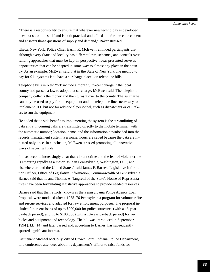"There is a responsibility to ensure that whatever new technology is developed does not sit on the shelf and is both practical and affordable for law enforcement and answers those questions of supply and demand," Baker stressed.

Ithaca, New York, Police Chief Harlin R. McEwen reminded participants that although every State and locality has different laws, schemes, and controls over funding approaches that must be kept in perspective, ideas presented serve as opportunities that can be adapted in some way to almost any place in the country. As an example, McEwen said that in the State of New York one method to pay for 911 systems is to have a surcharge placed on telephone bills.

Telephone bills in New York include a monthly 35-cent charge if the local county had passed a law to adopt that surcharge, McEwen said. The telephone company collects the money and then turns it over to the county. The surcharge can only be used to pay for the equipment and the telephone lines necessary to implement 911, but not for additional personnel, such as dispatchers or call takers to run the equipment.

He added that a side benefit to implementing the system is the streamlining of data entry. Incoming calls are transmitted directly to the mobile terminal, with the automatic number, location, name, and the information downloaded into the records management system. Personnel hours are saved because the data are inputted only once. In conclusion, McEwen stressed promoting all innovative ways of securing funds.

"It has become increasingly clear that violent crime and the fear of violent crime is emerging rapidly as a major issue in Pennsylvania, Washington, D.C., and elsewhere around the United States," said James F. Barnes, Legislative Information Officer, Office of Legislative Information, Commonwealth of Pennsylvania. Barnes said that he and Thomas A. Tangretti of the State's House of Representatives have been formulating legislative approaches to provide needed resources.

Barnes said that their efforts, known as the Pennsylvania Police Agency Loan Proposal, were modeled after a 1975–76 Pennsylvania program for volunteer fire and rescue services and adapted for law enforcement purposes. The proposal included 2-percent loans of up to \$200,000 for police structures (with a 15-year payback period), and up to \$100,000 (with a 10-year payback period) for vehicles and equipment and technology. The bill was introduced in September 1994 (H.B. 14) and later passed and, according to Barnes, has subsequently spurred significant interest.

Lieutenant Michael McColly, city of Crown Point, Indiana, Police Department, told conference attendees about his department's efforts to raise funds for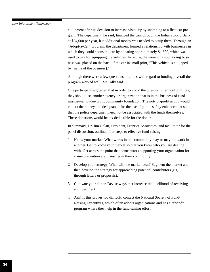equipment after its decision to increase visibility by switching to a fleet car program. The department, he said, financed the cars through the Indiana Bond Bank at \$34,000 per year, but additional money was needed to equip them. Through an "Adopt-a-Car" program, the department formed a relationship with businesses in which they could sponsor a car by donating approximately \$1,500, which was used to pay for equipping the vehicles. In return, the name of a sponsoring business was placed on the back of the car in small print, "This vehicle is equipped by [name of the business]."

Although there were a few questions of ethics with regard to funding, overall the program worked well, McColly said.

One participant suggested that in order to avoid the question of ethical conflicts, they should use another agency or organization that is in the business of fundraising—a not-for-profit community foundation. The not-for-profit group would collect the money and designate it for the use of public safety enhancement so that the police department need not be associated with the funds themselves. These donations would be tax deductible for the donor.

In summary, Dr. Jim Gelatt, President, Prentice Associates, and facilitator for the panel discussion, outlined four steps to effective fund-raising:

- 1 .Know your market. What works in one community may or may not work in another. Get to know your market so that you know who you are dealing with. Get across the point that contributors supporting your organization for crime prevention are investing in their community.
- 2 .Develop your strategy. What will the market bear? Segment the market and then develop the strategy for approaching potential contributors (e.g., through letters or proposals).
- 3 .Cultivate your donor. Devise ways that increase the likelihood of receiving an investment.
- 4 .Ask! If this proves too difficult, contact the National Society of Fund-Raising Executives, which often adopts organizations and has a "friend" program where they help in the fund-raising effort.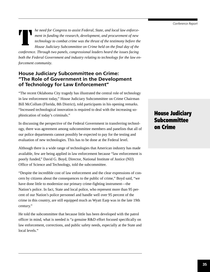*he need for Congress to assist Federal, State, and local law enforcement in funding the research, development, and procurement of new the need for Congress to assist Federal, State, and local law enforcement in funding the research, development, and procurement of new technology to combat crime was the thrust of the testimony before the House Judiciary Subcommittee on Crime held on the final day of the conference. Through two panels, congressional leaders heard the issues facing both the Federal Government and industry relating to technology for the law enforcement community.*

# **House Judiciary Subcommittee on Crime: "The Role of Government in the Development of Technology for Law Enforcement"**

"The recent Oklahoma City tragedy has illustrated the central role of technology in law enforcement today," House Judiciary Subcommittee on Crime Chairman Bill McCollum (Florida, 8th District), told participants in his opening remarks. "Increased technological innovation is required to deal with the increasing sophistication of today's criminals."

In discussing the perspective of the Federal Government in transferring technology, there was agreement among subcommittee members and panelists that all of our police departments cannot possibly be expected to pay for the testing and evaluation of new technologies. This has to be done at the Federal level.

Although there is a wide range of technologies that American industry has made available, few are being applied in law enforcement because "law enforcement is poorly funded," David G. Boyd, Director, National Institute of Justice (NIJ) Office of Science and Technology, told the subcommittee.

"Despite the incredible cost of law enforcement and the clear expressions of concern by citizens about the consequences to the public of crime," Boyd said, "we have done little to modernize our primary crime-fighting instrument—the Nation's police. In fact, State and local police, who represent more than 95 percent of our Nation's police personnel and handle well over 95 percent of the crime in this country, are still equipped much as Wyatt Earp was in the late 19th century."

He told the subcommittee that because little has been developed with the patrol officer in mind, what is needed is "a genuine R&D effort focused specifically on law enforcement, corrections, and public safety needs, especially at the State and local levels."

**House Judiciary Subcommittee on Crime**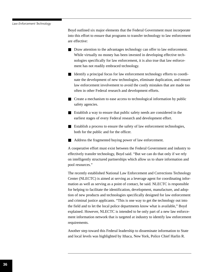Boyd outlined six major elements that the Federal Government must incorporate into this effort to ensure that programs to transfer technology to law enforcement are effective:

- Draw attention to the advantages technology can offer to law enforcement. While virtually no money has been invested in developing effective technologies specifically for law enforcement, it is also true that law enforcement has not readily embraced technology.
- Identify a principal focus for law enforcement technology efforts to coordinate the development of new technologies, eliminate duplication, and ensure law enforcement involvement to avoid the costly mistakes that are made too often in other Federal research and development efforts.
- Create a mechanism to ease access to technological information by public safety agencies.
- Establish a way to ensure that public safety needs are considered in the earliest stages of every Federal research and development effort.
- Establish a process to ensure the safety of law enforcement technologies, both for the public and for the officer.
- Address the fragmented buying power of law enforcement.

A cooperative effort must exist between the Federal Government and industry to effectively transfer technology, Boyd said. "But we can do that only if we rely on intelligently structured partnerships which allow us to share information and pool resources."

The recently established National Law Enforcement and Corrections Technology Center (NLECTC) is aimed at serving as a leverage agent for coordinating information as well as serving as a point of contact, he said. NLECTC is responsible for helping to facilitate the identification, development, manufacture, and adoption of new products and technologies specifically designed for law enforcement and criminal justice applicants. "This is one way to get the technology out into the field and to let the local police departments know what is available," Boyd explained. However, NLECTC is intended to be only part of a new law enforcement information network that is targeted at industry to identify law enforcement requirements.

Another step toward this Federal leadership to disseminate information to State and local levels was highlighted by Ithaca, New York, Police Chief Harlin R.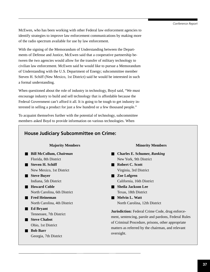McEwen, who has been working with other Federal law enforcement agencies to identify strategies to improve law enforcement communications by making more of the radio spectrum available for use by law enforcement.

With the signing of the Memorandum of Understanding between the Departments of Defense and Justice, McEwen said that a cooperative partnership between the two agencies would allow for the transfer of military technology to civilian law enforcement. McEwen said he would like to pursue a Memorandum of Understanding with the U.S. Department of Energy; subcommittee member Steven H. Schiff (New Mexico, 1st District) said he would be interested in such a formal understanding.

When questioned about the role of industry in technology, Boyd said, "We must encourage industry to build and sell technology that is affordable because the Federal Government can't afford it all. It is going to be tough to get industry interested in selling a product for just a few hundred or a few thousand people."

To acquaint themselves further with the potential of technology, subcommittee members asked Boyd to provide information on various technologies. When

#### **Majority Members** ■ **Bill McCollum,** *Chairman* Florida, 8th District ■ **Steven H. Schiff** New Mexico, 1st District ■ **Steve Buyer** Indiana, 5th District ■ **Howard Coble** North Carolina, 6th District ■ **Fred Heineman** North Carolina, 4th District ■ **Ed Bryant** Tennessee, 7th District ■ **Steve Chabot** Ohio, 1st District ■ **Bob Barr** Georgia, 7th District **House Judiciary Subcommittee on Crime:** New York, 9th District ■ **Robert C. Scott** Virginia, 3rd District ■ **Zoe Lofgren** California, 16th District ■ **Sheila Jackson Lee** Texas, 18th District ■ **Melvin L. Watt** oversight.

#### **Minority Members**

■ **Charles E. Schumer,** *Ranking* 

North Carolina, 12th District

**Jurisdiction:** Federal Crime Code, drug enforcement, sentencing, parole and pardons, Federal Rules of Criminal Procedure, prisons, other appropriate matters as referred by the chairman, and relevant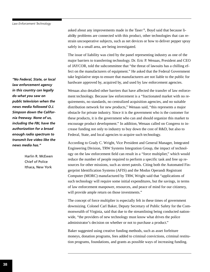*"No Federal, State, or local law enforcement agency in this country can legally do what you saw on public television when the news media followed O.J. Simpson down the California freeway. None of us, including the FBI, have the authorization for a broad enough radio spectrum to transmit live video like the news media has."*

> Harlin R. McEwen Chief of Police Ithaca, New York

asked about any improvements made in the Taser<sup>R</sup>, Boyd said that because liability problems are connected with this product, other technologies that can restrain uncooperative subjects, such as net devices or how to deliver pepper spray safely in a small area, are being investigated.

The issue of liability was cited by the panel representing industry as one of the major barriers to transferring technology. Dr. Eric P. Wenaas, President and CEO of JAYCOR, told the subcommittee that "the threat of lawsuits has a chilling effect on the manufacturers of equipment." He asked that the Federal Government take legislative steps to ensure that manufacturers are not liable to the public for hardware approved by, acquired by, and used by law enforcement agencies.

Wenaas also detailed other barriers that have affected the transfer of law enforcement technology. Because law enforcement is a "fractionated market with no requirements, no standards, no centralized acquisition agencies, and no suitable distribution network for new products," Wenaas said, "this represents a major obstacle for private industry. Since it is the government who is the customer for these products, it is the government who can and should organize this market to encourage product development." In addition, Wenaas called on Congress to increase funding not only to industry to buy down the cost of R&D, but also to Federal, State, and local agencies to acquire such technology.

According to Grady C. Wright, Vice President and General Manager, Integrated Engineering Division, TRW Systems Integration Group, the impact of technology on the law enforcement field can result in a "force multiplier," which would reduce the number of people required to perform a specific task and free up resources for other missions, such as street patrols. Citing both the Automated Fingerprint Identification Systems (AFIS) and the Modus Operandi Registrant Computer (MORC) manufactured by TRW, Wright said that "applications of such technology will require some initial expenditures, but the savings, in terms of law enforcement manpower, resources, and peace of mind for our citizenry, will provide ample return on those investments."

The concept of force multiplier is especially felt in these times of government downsizing. Colonel Carl Baker, Deputy Secretary of Public Safety for the Commonwealth of Virginia, said that due to the streamlining being conducted nationwide, "the providers of new technology must know what drives the police administrator's decision on whether or not to purchase a product."

Baker suggested using creative funding methods, such as asset forfeiture moneys, donation programs, fees added to criminal convictions, criminal restitution programs, foundations, and grants as possible ways of increasing funding.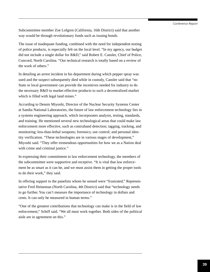Subcommittee member Zoe Lofgren (California, 16th District) said that another way would be through revolutionary funds such as issuing bonds.

The issue of inadequate funding, combined with the need for independent testing of police products, is especially felt on the local level. "In my agency, our budget did not include a single dollar for R&D," said Robert E. Cansler, Chief of Police, Concord, North Carolina. "Our technical research is totally based on a review of the work of others."

In detailing an arrest incident in his department during which pepper spray was used and the suspect subsequently died while in custody, Cansler said that "no State or local government can provide the incentives needed for industry to do the necessary R&D to market effective products to such a decentralized market which is filled with legal land mines."

According to Dennis Miyoshi, Director of the Nuclear Security Systems Center at Sandia National Laboratories, the future of law enforcement technology lies in a systems engineering approach, which incorporates analysis, testing, standards, and training. He mentioned several new technological areas that could make law enforcement more effective, such as contraband detection; tagging, tracking, and monitoring; less-than-lethal weapons; forensics; use control; and personal identity verification. "These technologies are in various stages of development," Miyoshi said. "They offer tremendous opportunities for how we as a Nation deal with crime and criminal justice."

In expressing their commitment to law enforcement technology, the members of the subcommittee were supportive and receptive. "It is vital that law enforcement be as smart as it can be, and we must assist them in getting the proper tools to do their work," they said.

In offering support to the panelists whom he sensed were "frustrated," Representative Fred Heineman (North Carolina, 4th District) said that "technology needs to go further. You can't measure the importance of technology in dollars and cents. It can only be measured in human terms."

"One of the greatest contributions that technology can make is in the field of law enforcement," Schiff said. "We all must work together. Both sides of the political aisle are in agreement on this."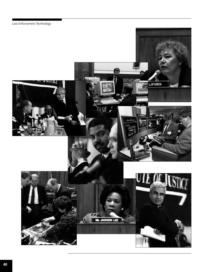*Law Enforcement Technology*

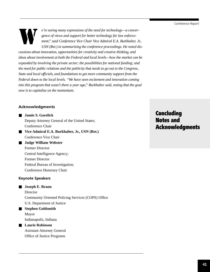*e're seeing many expressions of the need for technology—a convergence of views and support for better technology for law enforcement," said Conference Vice Chair Vice Admiral E.A. Burkhalter, Jr., USN (Ret.) in summarizing the conference proceedings. He noted dis-*

*cussions about innovation, opportunities for creativity and creative thinking, and ideas about involvement at both the Federal and local levels—how the market can be expanded by involving the private sector; the possibilities for national funding; and the need for public relations and the publicity that needs to go out to the Congress, State and local officials, and foundations to get more community support from the Federal down to the local levels. "We have seen excitement and innovation coming into this program that wasn't there a year ago," Burkhalter said, noting that the goal now is to capitalize on the momentum.*

## **Acknowledgments**

W

- **Jamie S. Gorelick** Deputy Attorney General of the United States; Conference Chair
- **Vice Admiral E.A. Burkhalter, Jr., USN (Ret.)** Conference Vice Chair
- **Judge William Webster** Former Director Central Intelligence Agency; Former Director Federal Bureau of Investigation; Conference Honorary Chair

## **Keynote Speakers**

■ **Joseph E. Brann**

**Director** Community Oriented Policing Services (COPS) Office U.S. Department of Justice ■ **Stephen Goldsmith** Mayor Indianapolis, Indiana

# ■ **Laurie Robinson**

Assistant Attorney General Office of Justice Programs

**Concluding Notes and Acknowledgments**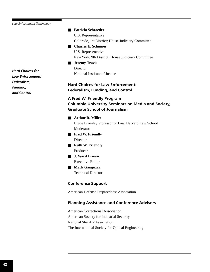*Hard Choices for Law Enforcement: Federalism, Funding, and Control*

#### ■ **Patricia Schroeder**

U.S. Representative

Colorado, 1st District; House Judiciary Committee

#### ■ **Charles E. Schumer**

U.S. Representative New York, 9th District; House Judiciary Committee

#### ■ **Jeremy Travis**

**Director** National Institute of Justice

# **Hard Choices for Law Enforcement: Federalism, Funding, and Control**

# **A Fred W. Friendly Program Columbia University Seminars on Media and Society, Graduate School of Journalism**

■ **Arthur R. Miller** Bruce Bromley Professor of Law, Harvard Law School

Moderator

- **Fred W. Friendly** Director
- **Ruth W. Friendly** Producer
- **J. Ward Brown** Executive Editor
- **Mark Ganguzza** Technical Director

#### **Conference Support**

American Defense Preparedness Association

#### **Planning Assistance and Conference Advisers**

American Correctional Association American Society for Industrial Security National Sheriffs' Association The International Society for Optical Engineering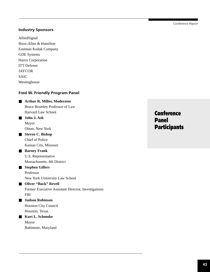# **Industry Sponsors**

AlliedSignal Booz-Allen & Hamilton Eastman Kodak Company GDE Systems Harris Corporation ITT Defense **JAYCOR** SAIC Westinghouse

# **Fred W. Friendly Program Panel**

■ **Arthur R. Miller, Moderator** Bruce Bromley Professor of Law Harvard Law School ■ **John J. Ash** Mayor Olean, New York ■ **Steven C. Bishop** 

Chief of Police Kansas City, Missouri

# ■ **Barney Frank** U.S. Representative Massachusetts, 4th District

# ■ **Stephen Gillers** Professor

New York University Law School

## ■ **Oliver "Buck" Revell**

Former Executive Assistant Director, Investigations FBI

■ **Judson Robinson** Houston City Council Houston, Texas

# ■ **Kurt L. Schmoke** Mayor

Baltimore, Maryland

**Conference Panel Participants**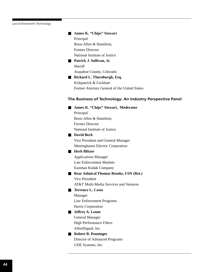#### ■ **James K. "Chips" Stewart**

Principal

Booz-Allen & Hamilton; Former Director

National Institute of Justice

- **Patrick J. Sullivan, Jr. Sheriff** Arapahoe County, Colorado
- **Richard L. Thornburgh, Esq.** Kirkpatrick & Lockhart Former Attorney General of the United States

#### **The Business of Technology: An Industry Perspective Panel**

■ **James K. "Chips" Stewart, Moderator** Principal Booz-Allen & Hamilton; Former Director National Institute of Justice

## ■ **David Beck**

Vice President and General Manager Westinghouse Electric Corporation

#### ■ **Herb Blitzer**

Applications Manager Law Enforcement Markets Eastman Kodak Company

■ **Rear Admiral Thomas Brooks, USN (Ret.)** Vice President

AT&T Multi-Media Services and Ventures

# ■ **Terrence L. Casto**

Manager

Law Enforcement Programs

Harris Corporation

#### ■ **Jeffrey A. Leone**

General Manager High Performance Fibers AlliedSignal, Inc.

# ■ **Robert B. Penninger** Director of Advanced Programs GDE Systems, Inc.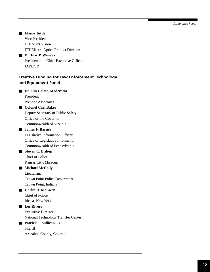■ **Elaine Tuttle** Vice President ITT Night Vision ITT Electro Optics Product Division ■ **Dr. Eric P. Wenaas** 

President and Chief Executive Officer **JAYCOR** 

# **Creative Funding for Law Enforcement Technology and Equipment Panel**

#### ■ **Dr. Jim Gelatt, Moderator**

President Prentice Associates

# ■ **Colonel Carl Baker**

Deputy Secretary of Public Safety Office of the Governor Commonwealth of Virginia

#### ■ **James F. Barnes**

Legislative Information Officer Office of Legislative Information Commonwealth of Pennsylvania

# ■ **Steven C. Bishop** Chief of Police Kansas City, Missouri

# ■ **Michael McColly**

Lieutenant Crown Point Police Department Crown Point, Indiana

# ■ **Harlin R. McEwen** Chief of Police

Ithaca, New York

# ■ **Lee Rivers** Executive Director

National Technology Transfer Center

■ **Patrick J. Sullivan, Jr. Sheriff** Arapahoe County, Colorado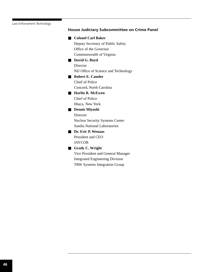| <b>House Judiciary Subcommittee on Crime Panel</b> |                                        |
|----------------------------------------------------|----------------------------------------|
|                                                    | <b>Colonel Carl Baker</b>              |
|                                                    | Deputy Secretary of Public Safety      |
|                                                    | Office of the Governor                 |
|                                                    | Commonwealth of Virginia               |
|                                                    | David G. Boyd                          |
|                                                    | Director                               |
|                                                    | NIJ Office of Science and Technology   |
|                                                    | <b>Robert E. Cansler</b>               |
|                                                    | <b>Chief of Police</b>                 |
|                                                    | Concord, North Carolina                |
|                                                    | <b>Harlin R. McEwen</b>                |
|                                                    | <b>Chief of Police</b>                 |
|                                                    | Ithaca, New York                       |
|                                                    | Dennis Miyoshi                         |
|                                                    | Director                               |
|                                                    | <b>Nuclear Security Systems Center</b> |
|                                                    | Sandia National Laboratories           |
|                                                    | Dr. Eric P. Wenaas                     |
|                                                    | President and CEO                      |
|                                                    | <b>JAYCOR</b>                          |
|                                                    | <b>Grady C. Wright</b>                 |
|                                                    | Vice President and General Manager     |
|                                                    | <b>Integrated Engineering Division</b> |

TRW Systems Integration Group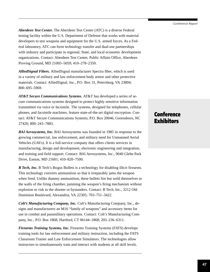*Aberdeen Test Center.* The Aberdeen Test Center (ATC) is a diverse Federal testing facility within the U.S. Department of Defense that works with material developers to test weapons and equipment for the U.S. armed forces. As a Federal laboratory, ATC can form technology transfer and dual-use partnerships with industry and participate in regional, State, and local economic development organizations. Contact: Aberdeen Test Center, Public Affairs Office, Aberdeen Proving Ground, MD 21005–5059; 410–278–2350.

*AlliedSignal Fibers.* AlliedSignal manufactures Spectra fiber, which is used in a variety of military and law enforcement body armor and other protective materials. Contact: AlliedSignal, Inc., P.O. Box 31, Petersburg, VA 23804; 800–695–5969.

*AT&T Secure Communications Systems.* AT&T has developed a series of secure communications systems designed to protect highly sensitive information transmitted via voice or facsimile. The systems, designed for telephones, cellular phones, and facsimile machines, feature state-of-the-art digital encryption. Contact: AT&T Secure Communications Systems, P.O. Box 20046, Greensboro, NC 27420; 800–243–7883.

*BAI Aerosystems, Inc.* BAI Aerosystems was founded in 1985 in response to the growing commercial, law enforcement, and military need for Unmanned Aerial Vehicles (UAVs). It is a full-service company that offers clients services in manufacturing, design and development, electronic engineering and integration, and training and field support. Contact: BAI Aerosystems, Inc., 9040 Glebe Park Drive, Easton, MD 21601; 410–820–7500.

*B Tech, Inc.* B Tech's Bogus Bullets is a technology for disabling illicit firearms. This technology converts ammunition so that it irreparably jams the weapon when fired. Unlike dummy ammunition, these bullets fire but weld themselves to the walls of the firing chamber, jamming the weapon's firing mechanism without explosion or risk to the shooter or bystanders. Contact: B Tech, Inc., 3212 Old Dominion Boulevard, Alexandria, VA 22305; 703–751–3422.

*Colt's Manufacturing Company, Inc.* Colt's Manufacturing Company, Inc., designs and manufacturers an M16 "family of weapons" and accessory items for use in combat and paramilitary operations. Contact: Colt's Manufacturing Company, Inc., P.O. Box 1868, Hartford, CT 06144–1868; 203–236–6311.

*Firearms Training Systems, Inc.* Firearms Training Systems (FATS) develops training tools for law enforcement and military instruction, including the FATS Classroom Trainer and Law Enforcement Simulators. The technologies allow instructors to simultaneously train and interact with students at all skill levels.

# **Conference Exhibitors**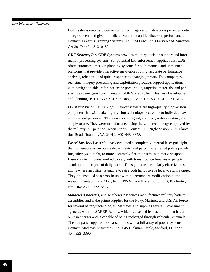Both systems employ video or computer images and instructions projected onto a large screen, and give immediate evaluation and feedback on performance. Contact: Firearms Training Systems, Inc., 7340 McGinnis Ferry Road, Suwanee, GA 30174; 404–813–0180.

*GDE Systems, Inc.* GDE Systems provides military decision support and information processing systems. For potential law enforcement applications, GDE offers automated mission planning systems for both manned and unmanned platforms that provide interactive survivable routing, accurate performance analysis, rehearsal, and quick response to changing threats. The company's real-time imagery processing and exploitation products support applications with navigation aids, reference scene preparation, targeting materials, and perspective scene generation. Contact: GDE Systems, Inc., Business Development and Planning, P.O. Box 85310, San Diego, CA 92186–5310; 619–573–5157.

*ITT Night Vision.* ITT's Night Enforcer viewers are high-quality night-vision equipment that will make night-vision technology accessible to individual law enforcement personnel. The viewers are rugged, compact, water resistant, and simple to use. They were manufactured using the same technology employed by the military in Operation Desert Storm. Contact: ITT Night Vision, 7635 Plantation Road, Roanoke, VA 24019; 800–448–8678.

*LaserMax, Inc.* LaserMax has developed a completely internal laser gun sight that will enable urban police departments, and particularly transit police patrolling subways at night, to more accurately fire their semi-automatic weapons. LaserMax technicians worked closely with transit police firearms experts to stand up to the rigors of daily patrol. The sights are particularly effective in situations where an officer is unable to raise both hands to eye level to sight a target. They are installed as a drop-in unit with no permanent modification to the weapon. Contact: LaserMax, Inc., 3495 Winton Place, Building B, Rochester, NY 14623; 716–272–5427.

*Mathews Associates, Inc.* Mathews Associates manufactures military battery assemblies and is the prime supplier for the Navy, Marines, and U.S. Air Force for several battery technologies. Mathews also supplies several Government agencies with the SABER Battery, which is a sealed lead acid unit that has a built-in charger and is capable of being recharged through vehicular channels. The company supports these assemblies with a full array of power systems. Contact: Mathews Associates, Inc., 645 Hickman Circle, Sanford, FL 32771; 407–323–3390.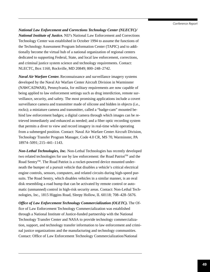*National Law Enforcement and Corrections Technology Center (NLECTC)/ National Institute of Justice.* NIJ's National Law Enforcement and Corrections Technology Center was established in October 1994 to assume the functions of the Technology Assessment Program Information Center (TAPIC) and to additionally become the virtual hub of a national organization of regional centers dedicated to supporting Federal, State, and local law enforcement, corrections, and criminal justice system science and technology requirements. Contact: NLECTC, Box 1160, Rockville, MD 20849; 800–248–2742.

*Naval Air Warfare Center.* Reconnaissance and surveillance imagery systems developed by the Naval Air Warfare Center Aircraft Division in Warminster (NAWCADWAR), Pennsylvania, for military requirements are now capable of being applied to law enforcement settings such as drug interdiction, remote surveillance, security, and safety. The most promising applications include a covert surveillance camera and transmitter made of silicone and hidden in objects (i.e., rocks); a miniature camera and transmitter, called a "badge-cam" mounted behind law enforcement badges; a digital camera through which images can be retrieved immediately and enhanced as needed; and a fiber optic recording system that permits a diver to view and record imagery in real-time while operating from a submerged position. Contact: Naval Air Warfare Center Aircraft Division, Technology Transfer Program Manager, Code 4.0 CR, MS 70, Warminster, PA 18974–5091; 215–441–1143.

*Non-Lethal Technologies, Inc.* Non-Lethal Technologies has recently developed two related technologies for use by law enforcement: the Road Patriot<sup>TM</sup> and the Road Sentry<sup>™</sup>. The Road Patriot is a rocket-powered device mounted underneath the bumper of a pursuit vehicle that disables a vehicle's critical electrical engine controls, sensors, computers, and related circuits during high-speed pursuits. The Road Sentry, which disables vehicles in a similar manner, is an oval disk resembling a road bump that can be activated by remote control or automatic (unmanned) control in high-risk security areas. Contact: Non-Lethal Technologies, Inc., 1815 Higgins Road, Sleepy Hollow, IL 60118; 708–428–5676.

*Office of Law Enforcement Technology Commercialization (OLETC).* The Office of Law Enforcement Technology Commercialization was established through a National Institute of Justice-funded partnership with the National Technology Transfer Center and NASA to provide technology commercialization, support, and technology transfer information to law enforcement and criminal justice organizations and the manufacturing and technology communities. Contact: Office of Law Enforcement Technology Commercialization/National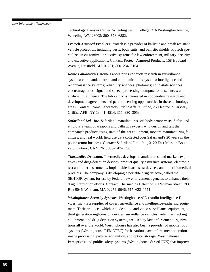Technology Transfer Center, Wheeling Jesuit College, 316 Washington Avenue, Wheeling, WV 26003; 800–678–6882.

*Protech Armored Products.* Protech is a provider of ballistic and break resistant vehicle protection, including vests, body suits, and ballistic shields. Protech specializes in customized protective systems for law enforcement, military, security and executive applications. Contact: Protech Armored Products, 158 Hubbard Avenue, Pittsfield, MA 01201; 800–234–3104.

*Rome Laboratories.* Rome Laboratories conducts research in surveillance systems; command, control, and communications systems; intelligence and reconnaissance systems; reliability sciences; photonics; solid-state sciences; electromagnetics; signal and speech processing; computational sciences; and artificial intelligence. The laboratory is interested in cooperative research and development agreements and patent licensing opportunities in these technology areas. Contact: Rome Laboratory Public Affairs Office, 26 Electronic Parkway, Griffiss AFB, NY 13441–4514; 315–330–3053.

*Safariland Ltd., Inc.* Safariland manufactures soft body armor vests. Safariland employs a team of weapons and ballistics experts who design and test the company's products using state-of-the-art equipment, modern manufacturing facilities, and real world, field use data collected over Safariland's 20 years in the police armor business. Contact: Safariland Ltd., Inc., 3120 East Mission Boulevard, Ontario, CA 91761; 800–347–1200.

*Thermedics Detection.* Thermedics develops, manufactures, and markets explosives- and drug-detection devices, product quality assurance systems, electronic test and other instruments, implantable heart-assist devices, and other biomedical products. The company is developing a portable drug detector, called the SENTOR system, for use by Federal law enforcement agencies to enhance their drug interdiction efforts. Contact: Thermedics Detection, 81 Wyman Street, P.O. Box 9046, Waltham, MA 02254–9046; 617–622–1111.

*Westinghouse Security Systems.* Westinghouse AID (Audio Intelligence Devices, Inc.) is a supplier of covert surveillance and intelligence-gathering equipment. Their products, which include audio and video surveillance equipment, third generation night-vision devices, surveillance vehicles, vehicular tracking equipment, and drug detection systems, are used by law enforcement organizations all over the world. Westinghouse has also been a provider of mobile robot systems (Westinghouse REMOTEC) for hazardous law enforcement operations; image processing, pattern recognition, and optical storage (Westinghouse Perceptics); and public safety systems (Westinghouse StreetLINK) that improve